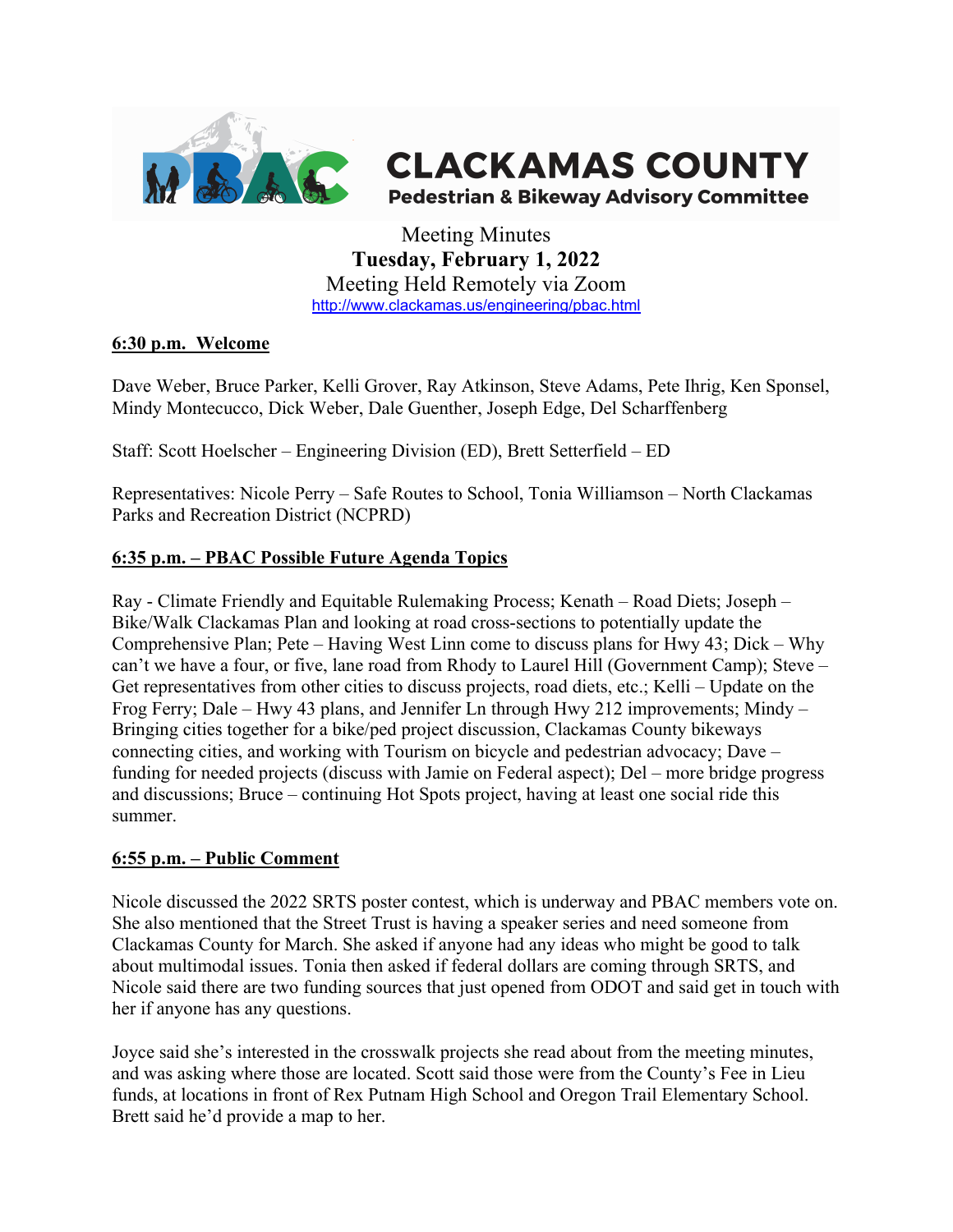

# **CLACKAMAS COUNTY**

**Pedestrian & Bikeway Advisory Committee** 

Meeting Minutes **Tuesday, February 1, 2022** Meeting Held Remotely via Zoom http://www.clackamas.us/engineering/pbac.html

#### **6:30 p.m. Welcome**

Dave Weber, Bruce Parker, Kelli Grover, Ray Atkinson, Steve Adams, Pete Ihrig, Ken Sponsel, Mindy Montecucco, Dick Weber, Dale Guenther, Joseph Edge, Del Scharffenberg

Staff: Scott Hoelscher – Engineering Division (ED), Brett Setterfield – ED

Representatives: Nicole Perry – Safe Routes to School, Tonia Williamson – North Clackamas Parks and Recreation District (NCPRD)

# **6:35 p.m. – PBAC Possible Future Agenda Topics**

Ray - Climate Friendly and Equitable Rulemaking Process; Kenath – Road Diets; Joseph – Bike/Walk Clackamas Plan and looking at road cross-sections to potentially update the Comprehensive Plan; Pete – Having West Linn come to discuss plans for Hwy 43; Dick – Why can't we have a four, or five, lane road from Rhody to Laurel Hill (Government Camp); Steve – Get representatives from other cities to discuss projects, road diets, etc.; Kelli – Update on the Frog Ferry; Dale – Hwy 43 plans, and Jennifer Ln through Hwy 212 improvements; Mindy – Bringing cities together for a bike/ped project discussion, Clackamas County bikeways connecting cities, and working with Tourism on bicycle and pedestrian advocacy; Dave – funding for needed projects (discuss with Jamie on Federal aspect); Del – more bridge progress and discussions; Bruce – continuing Hot Spots project, having at least one social ride this summer.

#### **6:55 p.m. – Public Comment**

Nicole discussed the 2022 SRTS poster contest, which is underway and PBAC members vote on. She also mentioned that the Street Trust is having a speaker series and need someone from Clackamas County for March. She asked if anyone had any ideas who might be good to talk about multimodal issues. Tonia then asked if federal dollars are coming through SRTS, and Nicole said there are two funding sources that just opened from ODOT and said get in touch with her if anyone has any questions.

Joyce said she's interested in the crosswalk projects she read about from the meeting minutes, and was asking where those are located. Scott said those were from the County's Fee in Lieu funds, at locations in front of Rex Putnam High School and Oregon Trail Elementary School. Brett said he'd provide a map to her.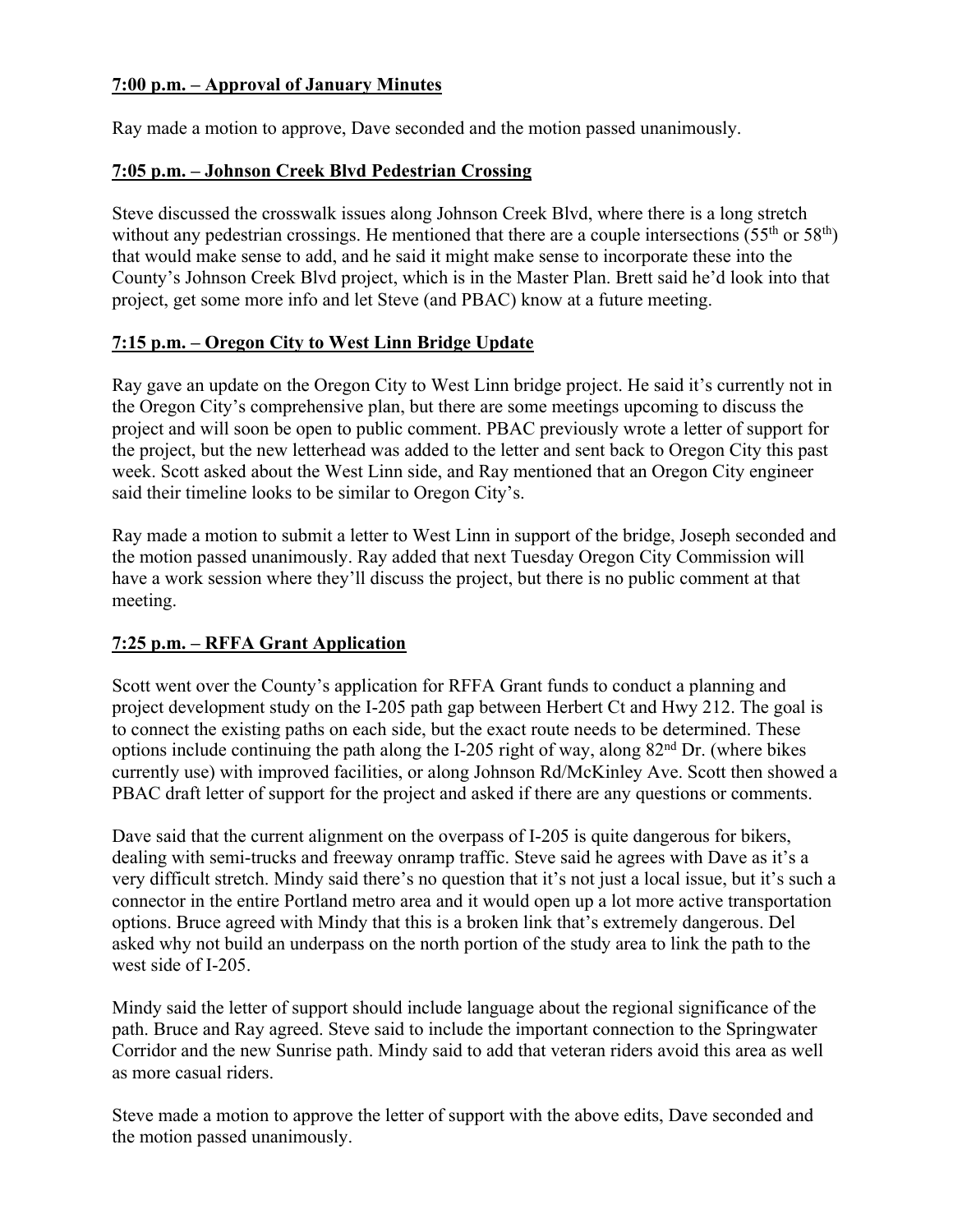#### **7:00 p.m. – Approval of January Minutes**

Ray made a motion to approve, Dave seconded and the motion passed unanimously.

## **7:05 p.m. – Johnson Creek Blvd Pedestrian Crossing**

Steve discussed the crosswalk issues along Johnson Creek Blvd, where there is a long stretch without any pedestrian crossings. He mentioned that there are a couple intersections  $(55<sup>th</sup>$  or  $58<sup>th</sup>$ ) that would make sense to add, and he said it might make sense to incorporate these into the County's Johnson Creek Blvd project, which is in the Master Plan. Brett said he'd look into that project, get some more info and let Steve (and PBAC) know at a future meeting.

#### **7:15 p.m. – Oregon City to West Linn Bridge Update**

Ray gave an update on the Oregon City to West Linn bridge project. He said it's currently not in the Oregon City's comprehensive plan, but there are some meetings upcoming to discuss the project and will soon be open to public comment. PBAC previously wrote a letter of support for the project, but the new letterhead was added to the letter and sent back to Oregon City this past week. Scott asked about the West Linn side, and Ray mentioned that an Oregon City engineer said their timeline looks to be similar to Oregon City's.

Ray made a motion to submit a letter to West Linn in support of the bridge, Joseph seconded and the motion passed unanimously. Ray added that next Tuesday Oregon City Commission will have a work session where they'll discuss the project, but there is no public comment at that meeting.

## **7:25 p.m. – RFFA Grant Application**

Scott went over the County's application for RFFA Grant funds to conduct a planning and project development study on the I-205 path gap between Herbert Ct and Hwy 212. The goal is to connect the existing paths on each side, but the exact route needs to be determined. These options include continuing the path along the I-205 right of way, along  $82<sup>nd</sup>$  Dr. (where bikes currently use) with improved facilities, or along Johnson Rd/McKinley Ave. Scott then showed a PBAC draft letter of support for the project and asked if there are any questions or comments.

Dave said that the current alignment on the overpass of I-205 is quite dangerous for bikers, dealing with semi-trucks and freeway onramp traffic. Steve said he agrees with Dave as it's a very difficult stretch. Mindy said there's no question that it's not just a local issue, but it's such a connector in the entire Portland metro area and it would open up a lot more active transportation options. Bruce agreed with Mindy that this is a broken link that's extremely dangerous. Del asked why not build an underpass on the north portion of the study area to link the path to the west side of I-205.

Mindy said the letter of support should include language about the regional significance of the path. Bruce and Ray agreed. Steve said to include the important connection to the Springwater Corridor and the new Sunrise path. Mindy said to add that veteran riders avoid this area as well as more casual riders.

Steve made a motion to approve the letter of support with the above edits, Dave seconded and the motion passed unanimously.